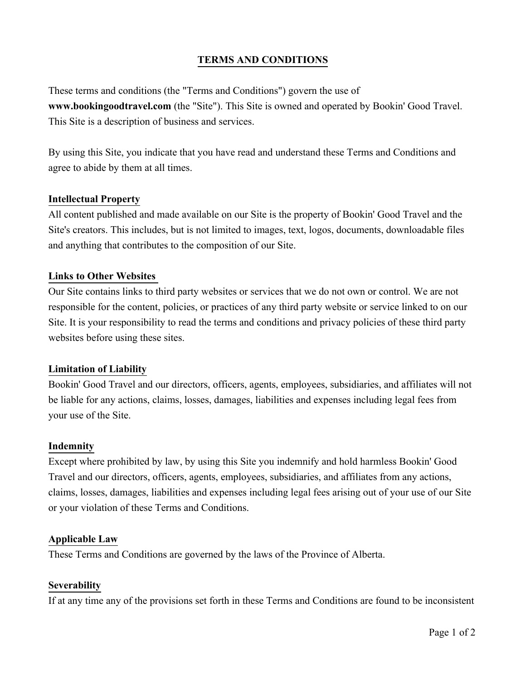# **TERMS AND CONDITIONS**

These terms and conditions (the "Terms and Conditions") govern the use of **www.bookingoodtravel.com** (the "Site"). This Site is owned and operated by Bookin' Good Travel. This Site is a description of business and services.

By using this Site, you indicate that you have read and understand these Terms and Conditions and agree to abide by them at all times.

### **Intellectual Property**

All content published and made available on our Site is the property of Bookin' Good Travel and the Site's creators. This includes, but is not limited to images, text, logos, documents, downloadable files and anything that contributes to the composition of our Site.

#### **Links to Other Websites**

Our Site contains links to third party websites or services that we do not own or control. We are not responsible for the content, policies, or practices of any third party website or service linked to on our Site. It is your responsibility to read the terms and conditions and privacy policies of these third party websites before using these sites.

#### **Limitation of Liability**

Bookin' Good Travel and our directors, officers, agents, employees, subsidiaries, and affiliates will not be liable for any actions, claims, losses, damages, liabilities and expenses including legal fees from your use of the Site.

#### **Indemnity**

Except where prohibited by law, by using this Site you indemnify and hold harmless Bookin' Good Travel and our directors, officers, agents, employees, subsidiaries, and affiliates from any actions, claims, losses, damages, liabilities and expenses including legal fees arising out of your use of our Site or your violation of these Terms and Conditions.

#### **Applicable Law**

These Terms and Conditions are governed by the laws of the Province of Alberta.

#### **Severability**

If at any time any of the provisions set forth in these Terms and Conditions are found to be inconsistent